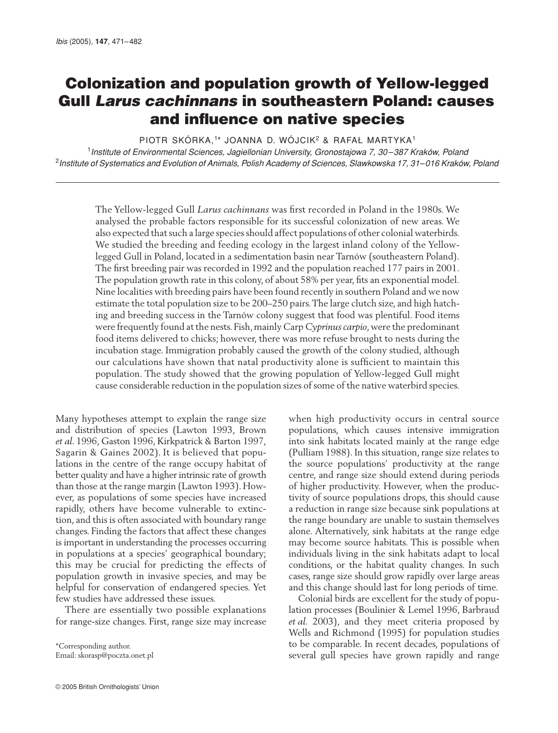# **Colonization and population growth of Yellow-legged Gull** *Larus cachinnans* **in southeastern Poland: causes and influence on native species**

PIOTR SKÓRKA,<sup>1</sup>\* JOANNA D. WÓJCIK<sup>2</sup> & RAFAŁ MARTYKA<sup>1</sup>

1 *Institute of Environmental Sciences, Jagiellonian University, Gronostajowa 7, 30–387 Kraków, Poland* 2 *Institute of Systematics and Evolution of Animals, Polish Academy of Sciences, Slawkowska 17, 31–016 Kraków, Poland* 

The Yellow-legged Gull *Larus cachinnans* was first recorded in Poland in the 1980s. We analysed the probable factors responsible for its successful colonization of new areas. We also expected that such a large species should affect populations of other colonial waterbirds. We studied the breeding and feeding ecology in the largest inland colony of the Yellowlegged Gull in Poland, located in a sedimentation basin near Tarnów (southeastern Poland). The first breeding pair was recorded in 1992 and the population reached 177 pairs in 2001. The population growth rate in this colony, of about 58% per year, fits an exponential model. Nine localities with breeding pairs have been found recently in southern Poland and we now estimate the total population size to be 200–250 pairs. The large clutch size, and high hatching and breeding success in the Tarnów colony suggest that food was plentiful. Food items were frequently found at the nests. Fish, mainly Carp *Cyprinus carpio*, were the predominant food items delivered to chicks; however, there was more refuse brought to nests during the incubation stage. Immigration probably caused the growth of the colony studied, although our calculations have shown that natal productivity alone is sufficient to maintain this population. The study showed that the growing population of Yellow-legged Gull might cause considerable reduction in the population sizes of some of the native waterbird species.

Many hypotheses attempt to explain the range size and distribution of species (Lawton 1993, Brown *et al*. 1996, Gaston 1996, Kirkpatrick & Barton 1997, Sagarin & Gaines 2002). It is believed that populations in the centre of the range occupy habitat of better quality and have a higher intrinsic rate of growth than those at the range margin (Lawton 1993). However, as populations of some species have increased rapidly, others have become vulnerable to extinction, and this is often associated with boundary range changes. Finding the factors that affect these changes is important in understanding the processes occurring in populations at a species' geographical boundary; this may be crucial for predicting the effects of population growth in invasive species, and may be helpful for conservation of endangered species. Yet few studies have addressed these issues.

There are essentially two possible explanations for range-size changes. First, range size may increase

\*Corresponding author. Email: skorasp@poczta.onet.pl when high productivity occurs in central source populations, which causes intensive immigration into sink habitats located mainly at the range edge (Pulliam 1988). In this situation, range size relates to the source populations' productivity at the range centre, and range size should extend during periods of higher productivity. However, when the productivity of source populations drops, this should cause a reduction in range size because sink populations at the range boundary are unable to sustain themselves alone. Alternatively, sink habitats at the range edge may become source habitats. This is possible when individuals living in the sink habitats adapt to local conditions, or the habitat quality changes. In such cases, range size should grow rapidly over large areas and this change should last for long periods of time.

Colonial birds are excellent for the study of population processes (Boulinier & Lemel 1996, Barbraud *et al*. 2003), and they meet criteria proposed by Wells and Richmond (1995) for population studies to be comparable. In recent decades, populations of several gull species have grown rapidly and range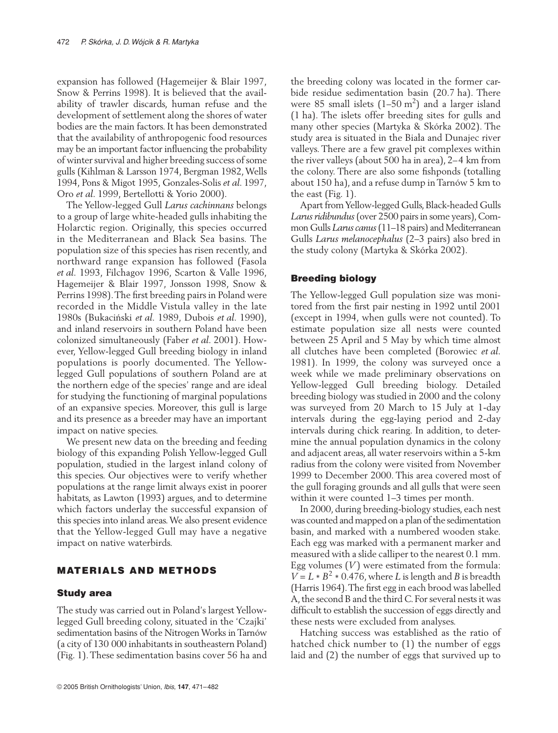expansion has followed (Hagemeijer & Blair 1997, Snow & Perrins 1998). It is believed that the availability of trawler discards, human refuse and the development of settlement along the shores of water bodies are the main factors. It has been demonstrated that the availability of anthropogenic food resources may be an important factor influencing the probability of winter survival and higher breeding success of some gulls (Kihlman & Larsson 1974, Bergman 1982, Wells 1994, Pons & Migot 1995, Gonzales-Solis *et al*. 1997, Oro *et al*. 1999, Bertellotti & Yorio 2000).

The Yellow-legged Gull *Larus cachinnans* belongs to a group of large white-headed gulls inhabiting the Holarctic region. Originally, this species occurred in the Mediterranean and Black Sea basins. The population size of this species has risen recently, and northward range expansion has followed (Fasola *et al*. 1993, Filchagov 1996, Scarton & Valle 1996, Hagemeijer & Blair 1997, Jonsson 1998, Snow & Perrins 1998). The first breeding pairs in Poland were recorded in the Middle Vistula valley in the late 1980s (Bukacinski *et al*. 1989, Dubois *et al*. 1990), and inland reservoirs in southern Poland have been colonized simultaneously (Faber *et al*. 2001). However, Yellow-legged Gull breeding biology in inland populations is poorly documented. The Yellowlegged Gull populations of southern Poland are at the northern edge of the species' range and are ideal for studying the functioning of marginal populations of an expansive species. Moreover, this gull is large and its presence as a breeder may have an important impact on native species.

We present new data on the breeding and feeding biology of this expanding Polish Yellow-legged Gull population, studied in the largest inland colony of this species. Our objectives were to verify whether populations at the range limit always exist in poorer habitats, as Lawton (1993) argues, and to determine which factors underlay the successful expansion of this species into inland areas. We also present evidence that the Yellow-legged Gull may have a negative impact on native waterbirds.

# **MATERIALS AND METHODS**

## **Study area**

The study was carried out in Poland's largest Yellowlegged Gull breeding colony, situated in the 'Czajki' sedimentation basins of the Nitrogen Works in Tarnów (a city of 130 000 inhabitants in southeastern Poland) (Fig. 1). These sedimentation basins cover 56 ha and the breeding colony was located in the former carbide residue sedimentation basin (20.7 ha). There were 85 small islets  $(1-50 \text{ m}^2)$  and a larger island (1 ha). The islets offer breeding sites for gulls and many other species (Martyka & Skórka 2002). The study area is situated in the Biała and Dunajec river valleys. There are a few gravel pit complexes within the river valleys (about 500 ha in area), 2–4 km from the colony. There are also some fishponds (totalling about 150 ha), and a refuse dump in Tarnów 5 km to the east (Fig. 1).

Apart from Yellow-legged Gulls, Black-headed Gulls *Larus ridibundus*(over 2500 pairs in some years), Common Gulls *Larus canus*(11–18 pairs) and Mediterranean Gulls *Larus melanocephalus* (2–3 pairs) also bred in the study colony (Martyka & Skórka 2002).

### **Breeding biology**

The Yellow-legged Gull population size was monitored from the first pair nesting in 1992 until 2001 (except in 1994, when gulls were not counted). To estimate population size all nests were counted between 25 April and 5 May by which time almost all clutches have been completed (Borowiec *et al*. 1981). In 1999, the colony was surveyed once a week while we made preliminary observations on Yellow-legged Gull breeding biology. Detailed breeding biology was studied in 2000 and the colony was surveyed from 20 March to 15 July at 1-day intervals during the egg-laying period and 2-day intervals during chick rearing. In addition, to determine the annual population dynamics in the colony and adjacent areas, all water reservoirs within a 5-km radius from the colony were visited from November 1999 to December 2000. This area covered most of the gull foraging grounds and all gulls that were seen within it were counted 1–3 times per month.

In 2000, during breeding-biology studies, each nest was counted and mapped on a plan of the sedimentation basin, and marked with a numbered wooden stake. Each egg was marked with a permanent marker and measured with a slide calliper to the nearest 0.1 mm. Egg volumes  $(V)$  were estimated from the formula:  $V = L * B<sup>2</sup> * 0.476$ , where *L* is length and *B* is breadth (Harris 1964). The first egg in each brood was labelled A, the second B and the third C. For several nests it was difficult to establish the succession of eggs directly and these nests were excluded from analyses.

Hatching success was established as the ratio of hatched chick number to (1) the number of eggs laid and (2) the number of eggs that survived up to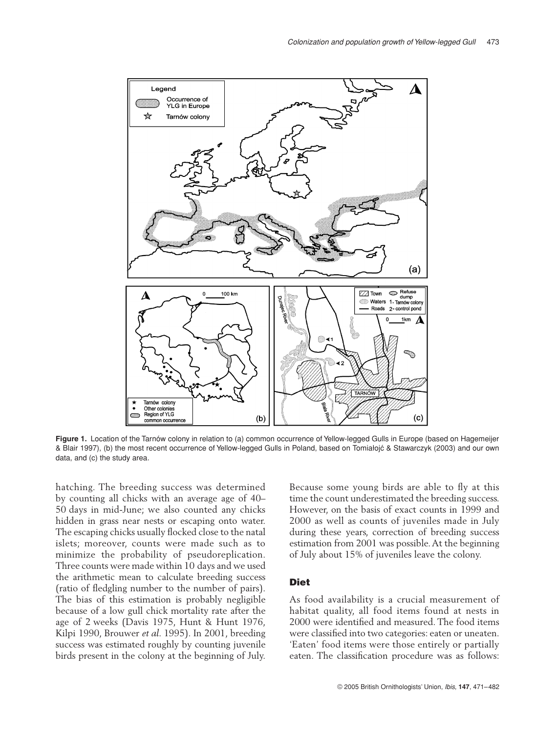

**Figure 1.** Location of the Tarnów colony in relation to (a) common occurrence of Yellow-legged Gulls in Europe (based on Hagemeijer & Blair 1997), (b) the most recent occurrence of Yellow-legged Gulls in Poland, based on TomialojC & Stawarczyk (2003) and our own data, and (c) the study area.

hatching. The breeding success was determined by counting all chicks with an average age of 40– 50 days in mid-June; we also counted any chicks hidden in grass near nests or escaping onto water. The escaping chicks usually flocked close to the natal islets; moreover, counts were made such as to minimize the probability of pseudoreplication. Three counts were made within 10 days and we used the arithmetic mean to calculate breeding success (ratio of fledgling number to the number of pairs). The bias of this estimation is probably negligible because of a low gull chick mortality rate after the age of 2 weeks (Davis 1975, Hunt & Hunt 1976, Kilpi 1990, Brouwer *et al*. 1995). In 2001, breeding success was estimated roughly by counting juvenile birds present in the colony at the beginning of July. Because some young birds are able to fly at this time the count underestimated the breeding success. However, on the basis of exact counts in 1999 and 2000 as well as counts of juveniles made in July during these years, correction of breeding success estimation from 2001 was possible. At the beginning of July about 15% of juveniles leave the colony.

# **Diet**

As food availability is a crucial measurement of habitat quality, all food items found at nests in 2000 were identified and measured. The food items were classified into two categories: eaten or uneaten. 'Eaten' food items were those entirely or partially eaten. The classification procedure was as follows: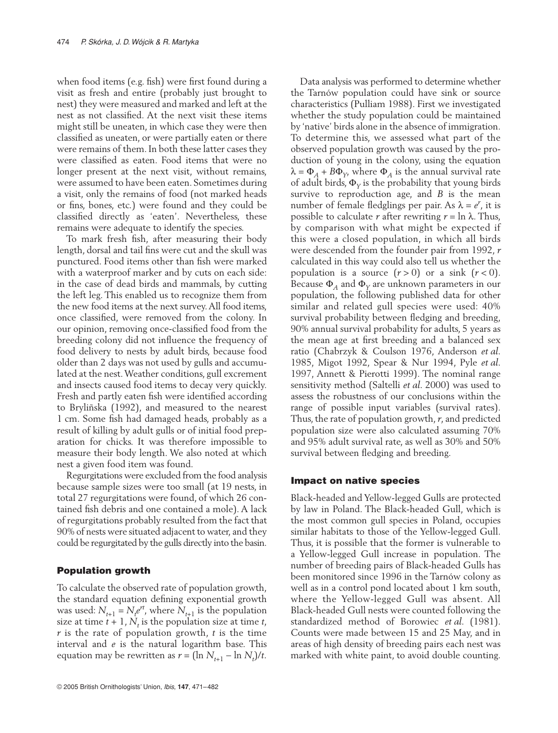when food items (e.g. fish) were first found during a visit as fresh and entire (probably just brought to nest) they were measured and marked and left at the nest as not classified. At the next visit these items might still be uneaten, in which case they were then classified as uneaten, or were partially eaten or there were remains of them. In both these latter cases they were classified as eaten. Food items that were no longer present at the next visit, without remains, were assumed to have been eaten. Sometimes during a visit, only the remains of food (not marked heads or fins, bones, etc.) were found and they could be classified directly as 'eaten'. Nevertheless, these remains were adequate to identify the species.

To mark fresh fish, after measuring their body length, dorsal and tail fins were cut and the skull was punctured. Food items other than fish were marked with a waterproof marker and by cuts on each side: in the case of dead birds and mammals, by cutting the left leg. This enabled us to recognize them from the new food items at the next survey. All food items, once classified, were removed from the colony. In our opinion, removing once-classified food from the breeding colony did not influence the frequency of food delivery to nests by adult birds, because food older than 2 days was not used by gulls and accumulated at the nest. Weather conditions, gull excrement and insects caused food items to decay very quickly. Fresh and partly eaten fish were identified according to Bryliñska (1992), and measured to the nearest 1 cm. Some fish had damaged heads, probably as a result of killing by adult gulls or of initial food preparation for chicks. It was therefore impossible to measure their body length. We also noted at which nest a given food item was found.

Regurgitations were excluded from the food analysis because sample sizes were too small (at 19 nests, in total 27 regurgitations were found, of which 26 contained fish debris and one contained a mole). A lack of regurgitations probably resulted from the fact that 90% of nests were situated adjacent to water, and they could be regurgitated by the gulls directly into the basin.

# **Population growth**

To calculate the observed rate of population growth, the standard equation defining exponential growth was used:  $N_{t+1} = N_t e^{rt}$ , where  $N_{t+1}$  is the population size at time  $t + 1$ ,  $N_t$  is the population size at time  $t$ , *r* is the rate of population growth, *t* is the time interval and *e* is the natural logarithm base. This equation may be rewritten as  $r = (\ln N_{t+1} - \ln N_t)/t$ .

Data analysis was performed to determine whether the Tarnów population could have sink or source characteristics (Pulliam 1988). First we investigated whether the study population could be maintained by 'native' birds alone in the absence of immigration. To determine this, we assessed what part of the observed population growth was caused by the production of young in the colony, using the equation  $\lambda = \Phi_A + B\Phi_V$ , where  $\Phi_A$  is the annual survival rate of adult birds, Φ*Y* is the probability that young birds survive to reproduction age, and *B* is the mean number of female fledglings per pair. As  $\lambda = e^r$ , it is possible to calculate *r* after rewriting *r* = ln λ. Thus, by comparison with what might be expected if this were a closed population, in which all birds were descended from the founder pair from 1992, *r* calculated in this way could also tell us whether the population is a source  $(r > 0)$  or a sink  $(r < 0)$ . Because  $\Phi_A$  and  $\Phi_Y$  are unknown parameters in our population, the following published data for other similar and related gull species were used: 40% survival probability between fledging and breeding, 90% annual survival probability for adults, 5 years as the mean age at first breeding and a balanced sex ratio (Chabrzyk & Coulson 1976, Anderson *et al*. 1985, Migot 1992, Spear & Nur 1994, Pyle *et al*. 1997, Annett & Pierotti 1999). The nominal range sensitivity method (Saltelli *et al*. 2000) was used to assess the robustness of our conclusions within the range of possible input variables (survival rates). Thus, the rate of population growth, *r*, and predicted population size were also calculated assuming 70% and 95% adult survival rate, as well as 30% and 50% survival between fledging and breeding.

#### **Impact on native species**

Black-headed and Yellow-legged Gulls are protected by law in Poland. The Black-headed Gull, which is the most common gull species in Poland, occupies similar habitats to those of the Yellow-legged Gull. Thus, it is possible that the former is vulnerable to a Yellow-legged Gull increase in population. The number of breeding pairs of Black-headed Gulls has been monitored since 1996 in the Tarnów colony as well as in a control pond located about 1 km south, where the Yellow-legged Gull was absent. All Black-headed Gull nests were counted following the standardized method of Borowiec *et al*. (1981). Counts were made between 15 and 25 May, and in areas of high density of breeding pairs each nest was marked with white paint, to avoid double counting.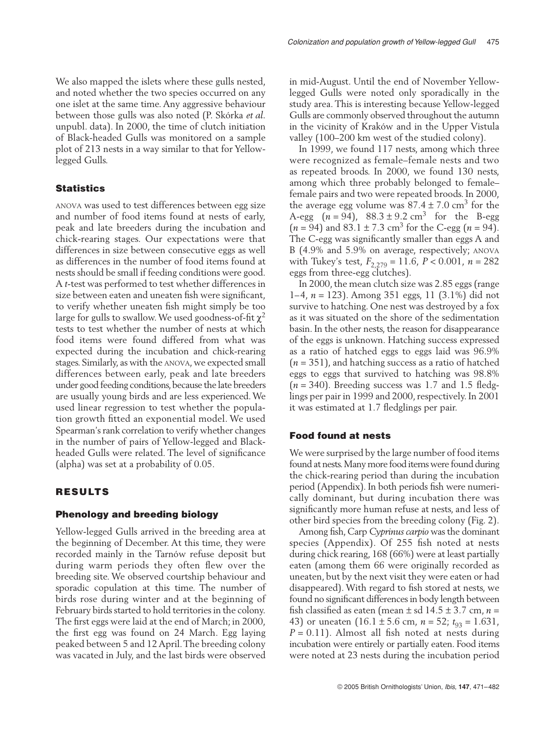We also mapped the islets where these gulls nested, and noted whether the two species occurred on any one islet at the same time. Any aggressive behaviour between those gulls was also noted (P. Skórka *et al*. unpubl. data). In 2000, the time of clutch initiation of Black-headed Gulls was monitored on a sample plot of 213 nests in a way similar to that for Yellowlegged Gulls.

## **Statistics**

ANOVA was used to test differences between egg size and number of food items found at nests of early, peak and late breeders during the incubation and chick-rearing stages. Our expectations were that differences in size between consecutive eggs as well as differences in the number of food items found at nests should be small if feeding conditions were good. A *t*-test was performed to test whether differences in size between eaten and uneaten fish were significant, to verify whether uneaten fish might simply be too large for gulls to swallow. We used goodness-of-fit  $\chi^2$ tests to test whether the number of nests at which food items were found differed from what was expected during the incubation and chick-rearing stages. Similarly, as with the ANOVA, we expected small differences between early, peak and late breeders under good feeding conditions, because the late breeders are usually young birds and are less experienced. We used linear regression to test whether the population growth fitted an exponential model. We used Spearman's rank correlation to verify whether changes in the number of pairs of Yellow-legged and Blackheaded Gulls were related. The level of significance (alpha) was set at a probability of 0.05.

## **RESULTS**

### **Phenology and breeding biology**

Yellow-legged Gulls arrived in the breeding area at the beginning of December. At this time, they were recorded mainly in the Tarnów refuse deposit but during warm periods they often flew over the breeding site. We observed courtship behaviour and sporadic copulation at this time. The number of birds rose during winter and at the beginning of February birds started to hold territories in the colony. The first eggs were laid at the end of March; in 2000, the first egg was found on 24 March. Egg laying peaked between 5 and 12 April. The breeding colony was vacated in July, and the last birds were observed in mid-August. Until the end of November Yellowlegged Gulls were noted only sporadically in the study area. This is interesting because Yellow-legged Gulls are commonly observed throughout the autumn in the vicinity of Kraków and in the Upper Vistula valley (100–200 km west of the studied colony).

In 1999, we found 117 nests, among which three were recognized as female–female nests and two as repeated broods. In 2000, we found 130 nests, among which three probably belonged to female– female pairs and two were repeated broods. In 2000, the average egg volume was  $87.4 \pm 7.0$  cm<sup>3</sup> for the A-egg  $(n = 94)$ ,  $88.3 \pm 9.2$  cm<sup>3</sup> for the B-egg  $(n = 94)$  and  $83.1 \pm 7.3$  cm<sup>3</sup> for the C-egg  $(n = 94)$ . The C-egg was significantly smaller than eggs A and B (4.9% and 5.9% on average, respectively; ANOVA with Tukey's test,  $F_{2,279} = 11.6$ ,  $P < 0.001$ ,  $n = 282$ eggs from three-egg clutches).

In 2000, the mean clutch size was 2.85 eggs (range 1–4, *n* = 123). Among 351 eggs, 11 (3.1%) did not survive to hatching. One nest was destroyed by a fox as it was situated on the shore of the sedimentation basin. In the other nests, the reason for disappearance of the eggs is unknown. Hatching success expressed as a ratio of hatched eggs to eggs laid was 96.9% (*n* = 351), and hatching success as a ratio of hatched eggs to eggs that survived to hatching was 98.8%  $(n = 340)$ . Breeding success was 1.7 and 1.5 fledglings per pair in 1999 and 2000, respectively. In 2001 it was estimated at 1.7 fledglings per pair.

#### **Food found at nests**

We were surprised by the large number of food items found at nests. Many more food items were found during the chick-rearing period than during the incubation period (Appendix). In both periods fish were numerically dominant, but during incubation there was significantly more human refuse at nests, and less of other bird species from the breeding colony (Fig. 2).

Among fish, Carp *Cyprinus carpio* was the dominant species (Appendix). Of 255 fish noted at nests during chick rearing, 168 (66%) were at least partially eaten (among them 66 were originally recorded as uneaten, but by the next visit they were eaten or had disappeared). With regard to fish stored at nests, we found no significant differences in body length between fish classified as eaten (mean  $\pm$  sd 14.5  $\pm$  3.7 cm, *n* = 43) or uneaten  $(16.1 \pm 5.6 \text{ cm}, n = 52; t_{93} = 1.631,$  $P = 0.11$ . Almost all fish noted at nests during incubation were entirely or partially eaten. Food items were noted at 23 nests during the incubation period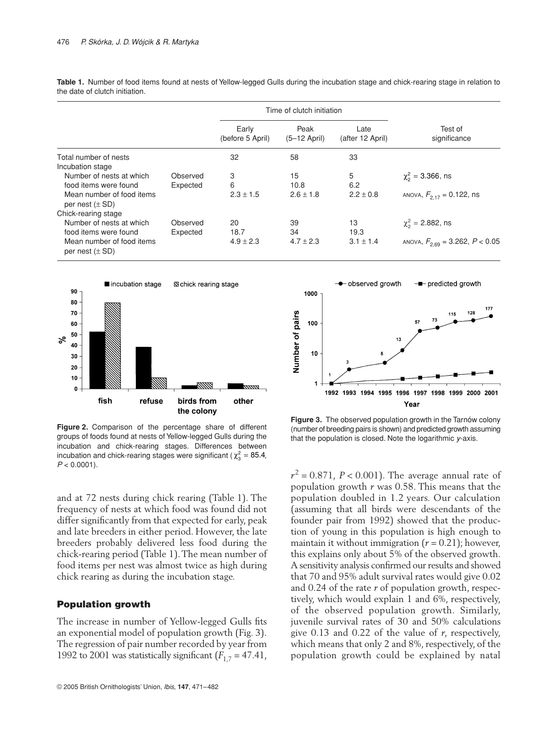**Table 1.** Number of food items found at nests of Yellow-legged Gulls during the incubation stage and chick-rearing stage in relation to the date of clutch initiation.

|                                                  |          | Time of clutch initiation |                        |                          |                                       |  |
|--------------------------------------------------|----------|---------------------------|------------------------|--------------------------|---------------------------------------|--|
|                                                  |          | Early<br>(before 5 April) | Peak<br>$(5-12$ April) | Late<br>(after 12 April) | Test of<br>significance               |  |
| Total number of nests                            |          | 32                        | 58                     | 33                       |                                       |  |
| Incubation stage                                 |          |                           |                        |                          |                                       |  |
| Number of nests at which                         | Observed | 3                         | 15                     | 5                        | $\chi^2_{0} = 3.366$ , ns             |  |
| food items were found                            | Expected | 6                         | 10.8                   | 6.2                      |                                       |  |
| Mean number of food items<br>per nest $(\pm SD)$ |          | $2.3 \pm 1.5$             | $2.6 \pm 1.8$          | $2.2 \pm 0.8$            | ANOVA, $F_{2,17} = 0.122$ , ns        |  |
| Chick-rearing stage                              |          |                           |                        |                          |                                       |  |
| Number of nests at which                         | Observed | 20                        | 39                     | 13                       | $\chi^2_{0}$ = 2.882, ns              |  |
| food items were found                            | Expected | 18.7                      | 34                     | 19.3                     |                                       |  |
| Mean number of food items<br>per nest $(\pm SD)$ |          | $4.9 \pm 2.3$             | $4.7 \pm 2.3$          | $3.1 \pm 1.4$            | ANOVA, $F_{2.69}$ = 3.262, $P < 0.05$ |  |



**Figure 2.** Comparison of the percentage share of different groups of foods found at nests of Yellow-legged Gulls during the incubation and chick-rearing stages. Differences between incubation and chick-rearing stages were significant ( $\chi^2_{3} = 85.4$ ,  $P < 0.0001$ ).

and at 72 nests during chick rearing (Table 1). The frequency of nests at which food was found did not differ significantly from that expected for early, peak and late breeders in either period. However, the late breeders probably delivered less food during the chick-rearing period (Table 1). The mean number of food items per nest was almost twice as high during chick rearing as during the incubation stage.

#### **Population growth**

The increase in number of Yellow-legged Gulls fits an exponential model of population growth (Fig. 3). The regression of pair number recorded by year from 1992 to 2001 was statistically significant  $(F_{1,7} = 47.41)$ ,



**Figure 3.** The observed population growth in the Tarnów colony (number of breeding pairs is shown) and predicted growth assuming that the population is closed. Note the logarithmic *y*-axis.

 $r^2$  = 0.871, *P* < 0.001). The average annual rate of population growth *r* was 0.58. This means that the population doubled in 1.2 years. Our calculation (assuming that all birds were descendants of the founder pair from 1992) showed that the production of young in this population is high enough to maintain it without immigration (*r =* 0.21); however, this explains only about 5% of the observed growth. A sensitivity analysis confirmed our results and showed that 70 and 95% adult survival rates would give 0.02 and 0.24 of the rate *r* of population growth, respectively, which would explain 1 and 6%, respectively, of the observed population growth. Similarly, juvenile survival rates of 30 and 50% calculations give 0.13 and 0.22 of the value of *r*, respectively, which means that only 2 and 8%, respectively, of the population growth could be explained by natal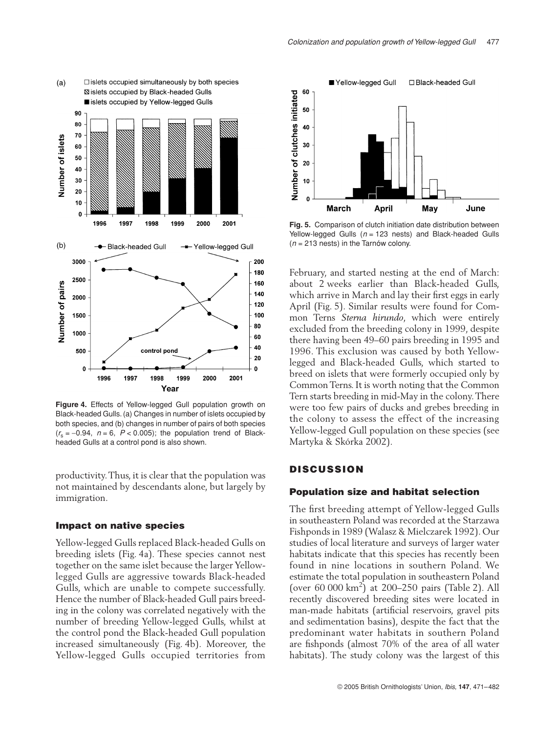

**Figure 4.** Effects of Yellow-legged Gull population growth on Black-headed Gulls. (a) Changes in number of islets occupied by both species, and (b) changes in number of pairs of both species ( $r<sub>s</sub> = -0.94$ ,  $n = 6$ ,  $P < 0.005$ ); the population trend of Blackheaded Gulls at a control pond is also shown.

productivity. Thus, it is clear that the population was not maintained by descendants alone, but largely by immigration.

#### **Impact on native species**

Yellow-legged Gulls replaced Black-headed Gulls on breeding islets (Fig. 4a). These species cannot nest together on the same islet because the larger Yellowlegged Gulls are aggressive towards Black-headed Gulls, which are unable to compete successfully. Hence the number of Black-headed Gull pairs breeding in the colony was correlated negatively with the number of breeding Yellow-legged Gulls, whilst at the control pond the Black-headed Gull population increased simultaneously (Fig. 4b). Moreover, the Yellow-legged Gulls occupied territories from



**Fig. 5.** Comparison of clutch initiation date distribution between Yellow-legged Gulls (*n* = 123 nests) and Black-headed Gulls (*n* = 213 nests) in the Tarnów colony.

February, and started nesting at the end of March: about 2 weeks earlier than Black-headed Gulls, which arrive in March and lay their first eggs in early April (Fig. 5). Similar results were found for Common Terns *Sterna hirundo*, which were entirely excluded from the breeding colony in 1999, despite there having been 49–60 pairs breeding in 1995 and 1996. This exclusion was caused by both Yellowlegged and Black-headed Gulls, which started to breed on islets that were formerly occupied only by Common Terns. It is worth noting that the Common Tern starts breeding in mid-May in the colony. There were too few pairs of ducks and grebes breeding in the colony to assess the effect of the increasing Yellow-legged Gull population on these species (see Martyka & Skórka 2002).

# **DISCUSSION**

#### **Population size and habitat selection**

The first breeding attempt of Yellow-legged Gulls in southeastern Poland was recorded at the Starzawa Fishponds in 1989 (Walasz & Mielczarek 1992). Our studies of local literature and surveys of larger water habitats indicate that this species has recently been found in nine locations in southern Poland. We estimate the total population in southeastern Poland (over 60 000 km<sup>2</sup>) at 200-250 pairs (Table 2). All recently discovered breeding sites were located in man-made habitats (artificial reservoirs, gravel pits and sedimentation basins), despite the fact that the predominant water habitats in southern Poland are fishponds (almost 70% of the area of all water habitats). The study colony was the largest of this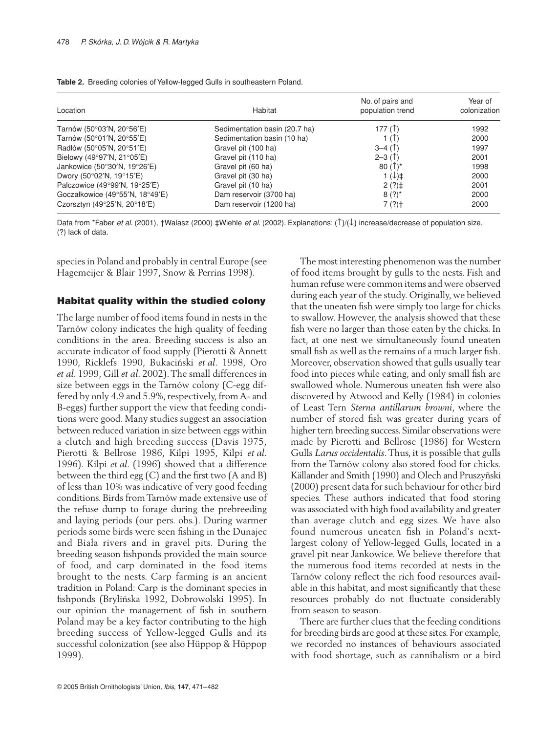| Location                        | Habitat                       | No. of pairs and<br>population trend | Year of<br>colonization |
|---------------------------------|-------------------------------|--------------------------------------|-------------------------|
| Tarnów (50°03'N, 20°56'E)       | Sedimentation basin (20.7 ha) | 177 $($ 1)                           | 1992                    |
| Tarnów (50°01'N, 20°55'E)       | Sedimentation basin (10 ha)   | 1 (T)                                | 2000                    |
| Radłów (50°05'N, 20°51'E)       | Gravel pit (100 ha)           | $3-4(1)$                             | 1997                    |
| Bielowy (49°97'N, 21°05'E)      | Gravel pit (110 ha)           | $2 - 3$ (1)                          | 2001                    |
| Jankowice (50°30'N, 19°26'E)    | Gravel pit (60 ha)            | 80 $(1)^*$                           | 1998                    |
| Dwory (50°02'N, 19°15'E)        | Gravel pit (30 ha)            | 1 $(\downarrow)$ ±                   | 2000                    |
| Palczowice (49°99'N, 19°25'E)   | Gravel pit (10 ha)            | $2(?)+$                              | 2001                    |
| Goczałkowice (49°55'N, 18°49'E) | Dam reservoir (3700 ha)       | $8(?)^*$                             | 2000                    |
| Czorsztyn (49°25'N, 20°18'E)    | Dam reservoir (1200 ha)       | 7(?)†                                | 2000                    |

|  |  |  |  |  |  | Table 2. Breeding colonies of Yellow-legged Gulls in southeastern Poland. |  |
|--|--|--|--|--|--|---------------------------------------------------------------------------|--|
|--|--|--|--|--|--|---------------------------------------------------------------------------|--|

Data from \*Faber *et al*. (2001), †Walasz (2000) ‡Wiehle *et al*. (2002). Explanations: (↑)/(↓) increase/decrease of population size, (?) lack of data.

species in Poland and probably in central Europe (see Hagemeijer & Blair 1997, Snow & Perrins 1998).

## **Habitat quality within the studied colony**

The large number of food items found in nests in the Tarnów colony indicates the high quality of feeding conditions in the area. Breeding success is also an accurate indicator of food supply (Pierotti & Annett 1990, Ricklefs 1990, Bukacinski *et al*. 1998, Oro *et al*. 1999, Gill *et al*. 2002). The small differences in size between eggs in the Tarnów colony (C-egg differed by only 4.9 and 5.9%, respectively, from A- and B-eggs) further support the view that feeding conditions were good. Many studies suggest an association between reduced variation in size between eggs within a clutch and high breeding success (Davis 1975, Pierotti & Bellrose 1986, Kilpi 1995, Kilpi *et al*. 1996). Kilpi *et al*. (1996) showed that a difference between the third egg (C) and the first two (A and B) of less than 10% was indicative of very good feeding conditions. Birds from Tarnów made extensive use of the refuse dump to forage during the prebreeding and laying periods (our pers. obs.). During warmer periods some birds were seen fishing in the Dunajec and Bia4a rivers and in gravel pits. During the breeding season fishponds provided the main source of food, and carp dominated in the food items brought to the nests. Carp farming is an ancient tradition in Poland: Carp is the dominant species in fishponds (Brylinska 1992, Dobrowolski 1995). In our opinion the management of fish in southern Poland may be a key factor contributing to the high breeding success of Yellow-legged Gulls and its successful colonization (see also Hüppop & Hüppop 1999).

The most interesting phenomenon was the number of food items brought by gulls to the nests. Fish and human refuse were common items and were observed during each year of the study. Originally, we believed that the uneaten fish were simply too large for chicks to swallow. However, the analysis showed that these fish were no larger than those eaten by the chicks. In fact, at one nest we simultaneously found uneaten small fish as well as the remains of a much larger fish. Moreover, observation showed that gulls usually tear food into pieces while eating, and only small fish are swallowed whole. Numerous uneaten fish were also discovered by Atwood and Kelly (1984) in colonies of Least Tern *Sterna antillarum browni*, where the number of stored fish was greater during years of higher tern breeding success. Similar observations were made by Pierotti and Bellrose (1986) for Western Gulls *Larus occidentalis*. Thus, it is possible that gulls from the Tarnów colony also stored food for chicks. Källander and Smith (1990) and Olech and Pruszyñski (2000) present data for such behaviour for other bird species. These authors indicated that food storing was associated with high food availability and greater than average clutch and egg sizes. We have also found numerous uneaten fish in Poland's nextlargest colony of Yellow-legged Gulls, located in a gravel pit near Jankowice. We believe therefore that the numerous food items recorded at nests in the Tarnów colony reflect the rich food resources available in this habitat, and most significantly that these resources probably do not fluctuate considerably from season to season.

There are further clues that the feeding conditions for breeding birds are good at these sites. For example, we recorded no instances of behaviours associated with food shortage, such as cannibalism or a bird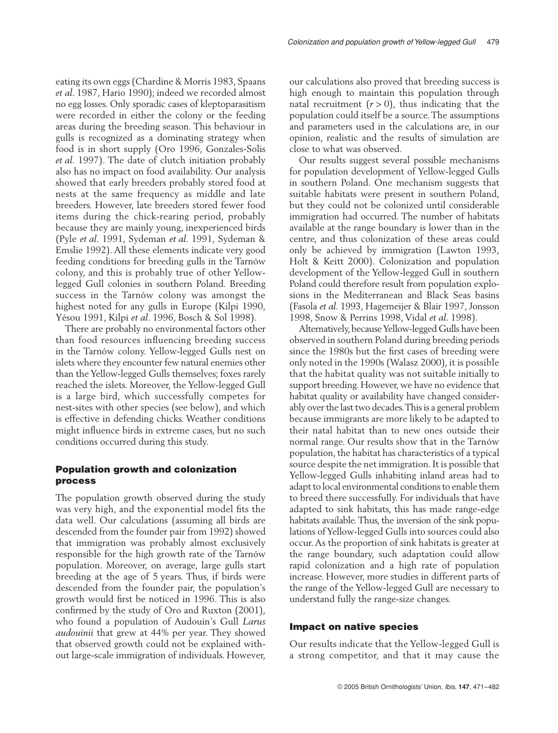eating its own eggs (Chardine & Morris 1983, Spaans *et al*. 1987, Hario 1990); indeed we recorded almost no egg losses. Only sporadic cases of kleptoparasitism were recorded in either the colony or the feeding areas during the breeding season. This behaviour in gulls is recognized as a dominating strategy when food is in short supply (Oro 1996, Gonzales-Solis *et al*. 1997). The date of clutch initiation probably also has no impact on food availability. Our analysis showed that early breeders probably stored food at nests at the same frequency as middle and late breeders. However, late breeders stored fewer food items during the chick-rearing period, probably because they are mainly young, inexperienced birds (Pyle *et al*. 1991, Sydeman *et al*. 1991, Sydeman & Emslie 1992). All these elements indicate very good feeding conditions for breeding gulls in the Tarnów colony, and this is probably true of other Yellowlegged Gull colonies in southern Poland. Breeding success in the Tarnów colony was amongst the highest noted for any gulls in Europe (Kilpi 1990, Yésou 1991, Kilpi *et al*. 1996, Bosch & Sol 1998).

There are probably no environmental factors other than food resources influencing breeding success in the Tarnów colony. Yellow-legged Gulls nest on islets where they encounter few natural enemies other than the Yellow-legged Gulls themselves; foxes rarely reached the islets. Moreover, the Yellow-legged Gull is a large bird, which successfully competes for nest-sites with other species (see below), and which is effective in defending chicks. Weather conditions might influence birds in extreme cases, but no such conditions occurred during this study.

# **Population growth and colonization process**

The population growth observed during the study was very high, and the exponential model fits the data well. Our calculations (assuming all birds are descended from the founder pair from 1992) showed that immigration was probably almost exclusively responsible for the high growth rate of the Tarnów population. Moreover, on average, large gulls start breeding at the age of 5 years. Thus, if birds were descended from the founder pair, the population's growth would first be noticed in 1996. This is also confirmed by the study of Oro and Ruxton (2001), who found a population of Audouin's Gull *Larus audouinii* that grew at 44% per year. They showed that observed growth could not be explained without large-scale immigration of individuals. However, our calculations also proved that breeding success is high enough to maintain this population through natal recruitment  $(r > 0)$ , thus indicating that the population could itself be a source. The assumptions and parameters used in the calculations are, in our opinion, realistic and the results of simulation are close to what was observed.

Our results suggest several possible mechanisms for population development of Yellow-legged Gulls in southern Poland. One mechanism suggests that suitable habitats were present in southern Poland, but they could not be colonized until considerable immigration had occurred. The number of habitats available at the range boundary is lower than in the centre, and thus colonization of these areas could only be achieved by immigration (Lawton 1993, Holt & Keitt 2000). Colonization and population development of the Yellow-legged Gull in southern Poland could therefore result from population explosions in the Mediterranean and Black Seas basins (Fasola *et al*. 1993, Hagemeijer & Blair 1997, Jonsson 1998, Snow & Perrins 1998, Vidal *et al*. 1998).

Alternatively, because Yellow-legged Gulls have been observed in southern Poland during breeding periods since the 1980s but the first cases of breeding were only noted in the 1990s (Walasz 2000), it is possible that the habitat quality was not suitable initially to support breeding. However, we have no evidence that habitat quality or availability have changed considerably over the last two decades. This is a general problem because immigrants are more likely to be adapted to their natal habitat than to new ones outside their normal range. Our results show that in the Tarnów population, the habitat has characteristics of a typical source despite the net immigration. It is possible that Yellow-legged Gulls inhabiting inland areas had to adapt to local environmental conditions to enable them to breed there successfully. For individuals that have adapted to sink habitats, this has made range-edge habitats available. Thus, the inversion of the sink populations of Yellow-legged Gulls into sources could also occur. As the proportion of sink habitats is greater at the range boundary, such adaptation could allow rapid colonization and a high rate of population increase. However, more studies in different parts of the range of the Yellow-legged Gull are necessary to understand fully the range-size changes.

#### **Impact on native species**

Our results indicate that the Yellow-legged Gull is a strong competitor, and that it may cause the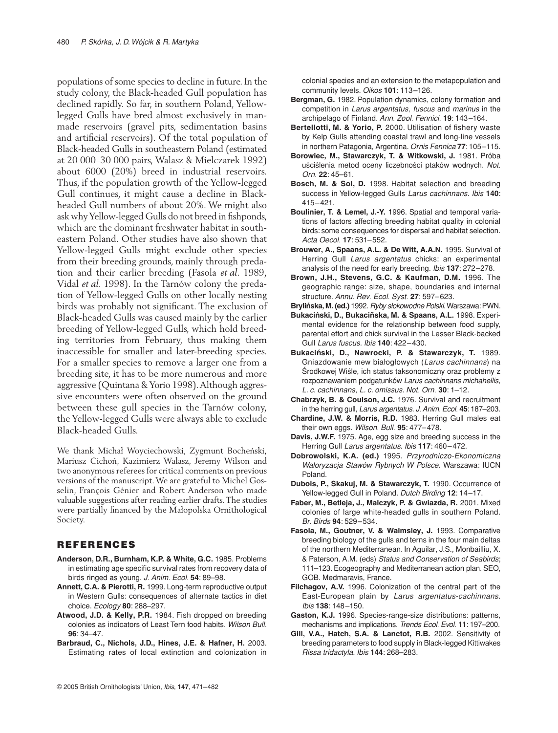populations of some species to decline in future. In the study colony, the Black-headed Gull population has declined rapidly. So far, in southern Poland, Yellowlegged Gulls have bred almost exclusively in manmade reservoirs (gravel pits, sedimentation basins and artificial reservoirs). Of the total population of Black-headed Gulls in southeastern Poland (estimated at 20 000–30 000 pairs, Walasz & Mielczarek 1992) about 6000 (20%) breed in industrial reservoirs. Thus, if the population growth of the Yellow-legged Gull continues, it might cause a decline in Blackheaded Gull numbers of about 20%. We might also ask why Yellow-legged Gulls do not breed in fishponds, which are the dominant freshwater habitat in southeastern Poland. Other studies have also shown that Yellow-legged Gulls might exclude other species from their breeding grounds, mainly through predation and their earlier breeding (Fasola *et al*. 1989, Vidal *et al*. 1998). In the Tarnów colony the predation of Yellow-legged Gulls on other locally nesting birds was probably not significant. The exclusion of Black-headed Gulls was caused mainly by the earlier breeding of Yellow-legged Gulls, which hold breeding territories from February, thus making them inaccessible for smaller and later-breeding species. For a smaller species to remove a larger one from a breeding site, it has to be more numerous and more aggressive (Quintana & Yorio 1998). Although aggressive encounters were often observed on the ground between these gull species in the Tarnów colony, the Yellow-legged Gulls were always able to exclude Black-headed Gulls.

We thank Michał Woyciechowski, Zygmunt Bocheński, Mariusz Cichon, Kazimierz Walasz, Jeremy Wilson and two anonymous referees for critical comments on previous versions of the manuscript. We are grateful to Michel Gosselin, François Génier and Robert Anderson who made valuable suggestions after reading earlier drafts. The studies were partially financed by the Malopolska Ornithological Society.

## **REFERENCES**

- **Anderson, D.R., Burnham, K.P. & White, G.C.** 1985. Problems in estimating age specific survival rates from recovery data of birds ringed as young. *J*. *Anim*. *Ecol*. **54**: 89–98.
- **Annett, C.A. & Pierotti, R.** 1999. Long-term reproductive output in Western Gulls: consequences of alternate tactics in diet choice. *Ecology* **80**: 288–297.
- **Atwood, J.D. & Kelly, P.R.** 1984. Fish dropped on breeding colonies as indicators of Least Tern food habits. *Wilson Bull*. **96**: 34–47.
- **Barbraud, C., Nichols, J.D., Hines, J.E. & Hafner, H.** 2003. Estimating rates of local extinction and colonization in

colonial species and an extension to the metapopulation and community levels. *Oikos* **101**: 113–126.

- **Bergman, G.** 1982. Population dynamics, colony formation and competition in *Larus argentatus*, *fuscus* and *marinus* in the archipelago of Finland. *Ann*. *Zool*. *Fennici*. **19**: 143–164.
- **Bertellotti, M. & Yorio, P.** 2000. Utilisation of fishery waste by Kelp Gulls attending coastal trawl and long-line vessels in northern Patagonia, Argentina. *Ornis Fennica* **77**: 105–115.
- **Borowiec, M., Stawarczyk, T. & Witkowski, J.** 1981. Próba u6ci6lenia metod oceny liczebno6ci ptaków wodnych. *Not*. *Orn*. **22**: 45–61.
- **Bosch, M. & Sol, D.** 1998. Habitat selection and breeding success in Yellow-legged Gulls *Larus cachinnans*. *Ibis* **140**: 415–421.
- **Boulinier, T. & Lemel, J.-Y.** 1996. Spatial and temporal variations of factors affecting breeding habitat quality in colonial birds: some consequences for dispersal and habitat selection. *Acta Oecol*. **17**: 531–552.
- **Brouwer, A., Spaans, A.L. & De Witt, A.A.N.** 1995. Survival of Herring Gull *Larus argentatus* chicks: an experimental analysis of the need for early breeding. *Ibis* **137**: 272–278.
- **Brown, J.H., Stevens, G.C. & Kaufman, D.M.** 1996. The geographic range: size, shape, boundaries and internal structure. *Annu*. *Rev*. *Ecol*. *Syst*. **27**: 597–623.
- **Brylińska, M. (ed.)** 1992. *Ryby słokowodne Polski*. Warszawa: PWN.
- **Bukaci**˜**ski, D., Bukaciñska, M. & Spaans, A.L.** 1998. Experimental evidence for the relationship between food supply, parental effort and chick survival in the Lesser Black-backed Gull *Larus fuscus*. *Ibis* **140**: 422–430.
- **Bukaci**˜**ski, D., Nawrocki, P. & Stawarczyk, T.** 1989. Gniazdowanie mew bialoglowych (*Larus cachinnans*) na Środkowej Wiśle, ich status taksonomiczny oraz problemy z rozpoznawaniem podgatunków *Larus cachinnans michahellis*, *L. c. cachinnans*, *L. c. omissus*. *Not*. *Orn*. **30**: 1–12.
- **Chabrzyk, B. & Coulson, J.C.** 1976. Survival and recruitment in the herring gull, *Larus argentatus*. *J*. *Anim*. *Ecol*. **45**: 187–203.
- **Chardine, J.W. & Morris, R.D.** 1983. Herring Gull males eat their own eggs. *Wilson*. *Bull*. **95**: 477–478.
- **Davis, J.W.F.** 1975. Age, egg size and breeding success in the Herring Gull *Larus argentatus*. *Ibis* **117**: 460–472.
- **Dobrowolski, K.A. (ed.)** 1995. *Przyrodniczo-Ekonomiczna Waloryzacja Stawów Rybnych W Polsce*. Warszawa: IUCN Poland.
- **Dubois, P., Skakuj, M. & Stawarczyk, T.** 1990. Occurrence of Yellow-legged Gull in Poland. *Dutch Birding* **12**: 14–17.
- **Faber, M., Betleja, J., Malczyk, P. & Gwiazda, R.** 2001. Mixed colonies of large white-headed gulls in southern Poland. *Br*. *Birds* **94**: 529–534.
- **Fasola, M., Goutner, V. & Walmsley, J.** 1993. Comparative breeding biology of the gulls and terns in the four main deltas of the northern Mediterranean. In Aguilar, J.S., Monbailliu, X. & Paterson, A.M. (eds) *Status and Conservation of Seabirds*; 111–123. Ecogeography and Mediterranean action plan. SEO, GOB. Medmaravis, France.
- **Filchagov, A.V.** 1996. Colonization of the central part of the East-European plain by *Larus argentatus-cachinnans*. *Ibis* **138**: 148–150.
- **Gaston, K.J.** 1996. Species-range-size distributions: patterns, mechanisms and implications. *Trends Ecol*. *Evol*. **11**: 197–200.
- **Gill, V.A., Hatch, S.A. & Lanctot, R.B.** 2002. Sensitivity of breeding parameters to food supply in Black-legged Kittiwakes *Rissa tridactyla*. *Ibis* **144**: 268–283.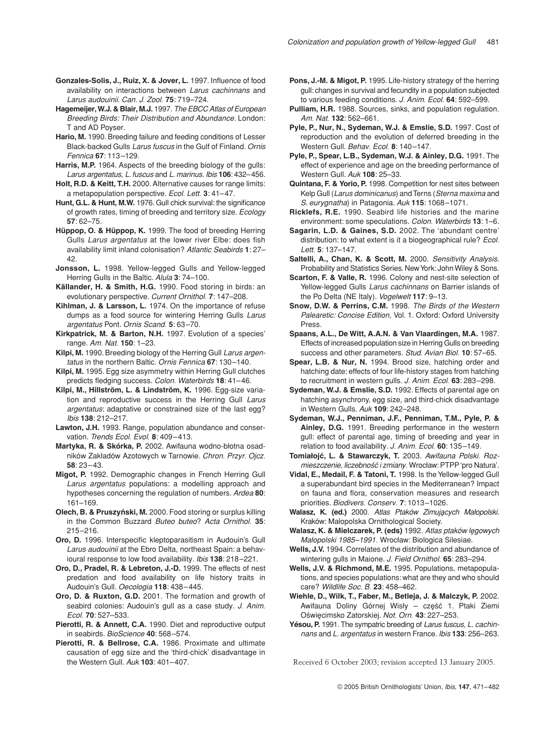- **Gonzales-Solis, J., Ruiz, X. & Jover, L.** 1997. Influence of food availability on interactions between *Larus cachinnans* and *Larus audouinii*. *Can*. *J*. *Zool*. **75**: 719–724.
- **Hagemeijer, W.J. & Blair, M.J.** 1997. *The EBCC Atlas of European Breeding Birds: Their Distribution and Abundance*. London: T and AD Poyser.
- **Hario, M.** 1990. Breeding failure and feeding conditions of Lesser Black-backed Gulls *Larus fuscus* in the Gulf of Finland. *Ornis Fennica* **67**: 113–129.
- **Harris, M.P.** 1964. Aspects of the breeding biology of the gulls: *Larus argentatus*, *L. fuscus* and *L. marinus*. *Ibis* **106**: 432–456.
- **Holt, R.D. & Keitt, T.H.** 2000. Alternative causes for range limits: a metapopulation perspective. *Ecol*. *Lett*. **3**: 41–47.
- **Hunt, G.L. & Hunt, M.W.** 1976. Gull chick survival: the significance of growth rates, timing of breeding and territory size. *Ecology* **57**: 62–75.
- **Hüppop, O. & Hüppop, K.** 1999. The food of breeding Herring Gulls *Larus argentatus* at the lower river Elbe: does fish availability limit inland colonisation? *Atlantic Seabirds* **1**: 27– 42.
- **Jonsson, L.** 1998. Yellow-legged Gulls and Yellow-legged Herring Gulls in the Baltic. *Alula* **3**: 74–100.
- **Källander, H. & Smith, H.G.** 1990. Food storing in birds: an evolutionary perspective. *Current Ornithol*. **7**: 147–208.
- **Kihlman, J. & Larsson, L.** 1974. On the importance of refuse dumps as a food source for wintering Herring Gulls *Larus argentatus* Pont. *Ornis Scand*. **5**: 63–70.
- **Kirkpatrick, M. & Barton, N.H.** 1997. Evolution of a species' range. *Am*. *Nat*. **150**: 1–23.
- **Kilpi, M.** 1990. Breeding biology of the Herring Gull *Larus argentatus* in the northern Baltic. *Ornis Fennica* **67**: 130–140.
- **Kilpi, M.** 1995. Egg size asymmetry within Herring Gull clutches predicts fledging success. *Colon*. *Waterbirds* **18**: 41–46.
- **Kilpi, M., Hillström, L. & Lindström, K.** 1996. Egg-size variation and reproductive success in the Herring Gull *Larus argentatus*: adaptative or constrained size of the last egg? *Ibis* **138**: 212–217.
- **Lawton, J.H.** 1993. Range, population abundance and conservation. *Trends Ecol*. *Evol*. **8**: 409–413.
- **Martyka, R. & Skórka, P.** 2002. Awifauna wodno-blotna osadników Zakladów Azotowych w Tarnowie. *Chron*. *Przyr*. *Ojcz*. **58**: 23–43.
- **Migot, P.** 1992. Demographic changes in French Herring Gull *Larus argentatus* populations: a modelling approach and hypotheses concerning the regulation of numbers. *Ardea* **80**: 161–169.
- **Olech, B. & Pruszyński, M.** 2000. Food storing or surplus killing in the Common Buzzard *Buteo buteo*? *Acta Ornithol*. **35**: 215–216.
- **Oro, D.** 1996. Interspecific kleptoparasitism in Audouin's Gull *Larus audouinii* at the Ebro Delta, northeast Spain: a behavioural response to low food availability. *Ibis* **138**: 218–221.
- **Oro, D., Pradel, R. & Lebreton, J.-D.** 1999. The effects of nest predation and food availability on life history traits in Audouin's Gull. *Oecologia* **118**: 438–445.
- **Oro, D. & Ruxton, G.D.** 2001. The formation and growth of seabird colonies: Audouin's gull as a case study. *J*. *Anim*. *Ecol*. **70**: 527–533.
- **Pierotti, R. & Annett, C.A.** 1990. Diet and reproductive output in seabirds. *BioScience* **40**: 568–574.
- **Pierotti, R. & Bellrose, C.A.** 1986. Proximate and ultimate causation of egg size and the 'third-chick' disadvantage in the Western Gull. *Auk* **103**: 401–407.
- **Pons, J.-M. & Migot, P.** 1995. Life-history strategy of the herring gull: changes in survival and fecundity in a population subjected to various feeding conditions. *J*. *Anim*. *Ecol*. **64**: 592–599.
- **Pulliam, H.R.** 1988. Sources, sinks, and population regulation. *Am*. *Nat*. **132**: 562–661.
- **Pyle, P., Nur, N., Sydeman, W.J. & Emslie, S.D.** 1997. Cost of reproduction and the evolution of deferred breeding in the Western Gull. *Behav*. *Ecol*. **8**: 140–147.
- **Pyle, P., Spear, L.B., Sydeman, W.J. & Ainley, D.G.** 1991. The effect of experience and age on the breeding performance of Western Gull. *Auk* **108**: 25–33.
- **Quintana, F. & Yorio, P.** 1998. Competition for nest sites between Kelp Gull (*Larus dominicanus*) and Terns (*Sterna maxima* and *S. eurygnatha*) in Patagonia. *Auk* **115**: 1068–1071.
- **Ricklefs, R.E.** 1990. Seabird life histories and the marine environment: some speculations. *Colon*. *Waterbirds* **13**: 1–6.
- **Sagarin, L.D. & Gaines, S.D.** 2002. The 'abundant centre' distribution: to what extent is it a biogeographical rule? *Ecol*. *Lett*. **5**: 137–147.
- **Saltelli, A., Chan, K. & Scott, M.** 2000. *Sensitivity Analysis*. Probability and Statistics Series. New York: John Wiley & Sons.
- **Scarton, F. & Valle, R.** 1996. Colony and nest-site selection of Yellow-legged Gulls *Larus cachinnans* on Barrier islands of the Po Delta (NE Italy). *Vogelwelt* **117**: 9–13.
- **Snow, D.W. & Perrins, C.M.** 1998. *The Birds of the Western Palearetic: Concise Edition*, Vol. 1. Oxford: Oxford University Press.
- **Spaans, A.L., De Witt, A.A.N. & Van Vlaardingen, M.A.** 1987. Effects of increased population size in Herring Gulls on breeding success and other parameters. *Stud*. *Avian Biol*. **10**: 57–65.
- **Spear, L.B. & Nur, N.** 1994. Brood size, hatching order and hatching date: effects of four life-history stages from hatching to recruitment in western gulls. *J*. *Anim*. *Ecol*. **63**: 283–298.
- **Sydeman, W.J. & Emslie, S.D.** 1992. Effects of parental age on hatching asynchrony, egg size, and third-chick disadvantage in Western Gulls. *Auk* **109**: 242–248.
- **Sydeman, W.J., Penniman, J.F., Penniman, T.M., Pyle, P. & Ainley, D.G.** 1991. Breeding performance in the western gull: effect of parental age, timing of breeding and year in relation to food availability. *J*. *Anim*. *Ecol*. **60**: 135–149.
- **Tomia**8**oj**9**, L. & Stawarczyk, T.** 2003. *Awifauna Polski*. *Rozmieszczenie, liczebno*78 *i zmiany*. Wroclaw: PTPP 'pro Natura'.
- **Vidal, E., Medail, F. & Tatoni, T.** 1998. Is the Yellow-legged Gull a superabundant bird species in the Mediterranean? Impact on fauna and flora, conservation measures and research priorities. *Biodivers*. *Conserv*. **7**: 1013–1026.
- Walasz, K. (ed.) 2000. Atlas Ptaków Zimujących Małopolski. Kraków: Malopolska Ornithological Society.
- **Walasz, K. & Mielczarek, P. (eds)** 1992. *Atlas ptaków l*´*gowych Małopolski 1985–1991*. Wrocław: Biologica Silesiae.
- **Wells, J.V.** 1994. Correlates of the distribution and abundance of wintering gulls in Maione. *J*. *Field Ornithol*. **65**: 283–294.
- **Wells, J.V. & Richmond, M.E.** 1995. Populations, metapopulations, and species populations: what are they and who should care? *Wildlife Soc*. *B*. **23**: 458–462.
- **Wiehle, D., Wilk, T., Faber, M., Betleja, J. & Malczyk, P.** 2002. Awifauna Doliny Górnej Wisły - część 1. Ptaki Ziemi O6wiecimsko Zatorskiej. *Not*. *Orn*. **43**: 227–253.
- **Yésou, P.** 1991. The sympatric breeding of *Larus fuscus*, *L. cachinnans* and *L. argentatus* in western France. *Ibis* **133**: 256–263.

Received 6 October 2003; revision accepted 13 January 2005.